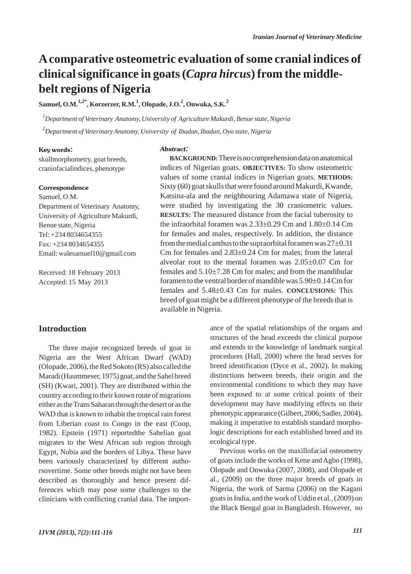# **Acomparative osteometric evaluation of some cranial indices of clinical significance in goats (***Capra hircus***) from the middlebelt regions of Nigeria**

**Samuel, O.M.1,2\*, Korzerzer, R.M.1 , Olopade, J.O.2 , Onwuka, S.K.<sup>2</sup>**

*1 Department of Veterinary Anatomy, University of Agriculture Makurdi, Benue state, Nigeria 2 Department of Veterinary Anatomy, University of Ibadan, Ibadan, Oyo state, Nigeria*

Abstract:

#### Key words:

skullmorphometry, goat breeds, craniofacialindices, phenotype

#### **Correspondence**

Samuel, O.M. Department of Veterinary Anatomy, University of Agriculture Makurdi, Benue state, Nigeria Tel: +234 8034654355 Fax: +234 8034654355 Email: walesamuel10@gmail.com

Received: 18 February 2013 Accepted: 15 May 2013

## **Introduction**

The three major recognized breeds of goat in Nigeria are the West African Dwarf (WAD) (Olopade, 2006), the Red Sokoto (RS) also called the Maradi (Haummeser, 1975) goat, and the Sahel breed (SH) (Kwari, 2001). They are distributed within the country according to their known route of migrations either as the Trans Saharan through the desert or as the WAD that is known to inhabit the tropical rain forest from Liberian coast to Congo in the east (Coop, 1982). Epstein (1971) reportedthe Sahelian goat migrates to the West African sub region through Egypt, Nubia and the borders of Libya. These have been variously characterized by different authorsovertime. Some other breeds might not have been described as thoroughly and hence present differences which may pose some challenges to the clinicians with conflicting cranial data. The import-

*IJVM (2013), 7(2):111-116 111*

**BACKGROUND:**There is no comprehension data on anatomical indices of Nigerian goats. **OBJECTIVES:** To show osteometric values of some cranial indices in Nigerian goats. **METHODS:** Sixty (60) goat skulls that were found around Makurdi, Kwande, Katsina-ala and the neighbouring Adamawa state of Nigeria, were studied by investigating the 30 craniometric values. **RESULTS:** The measured distance from the facial tuberosity to the infraorbital foramen was 2.33±0.29 Cm and 1.80±0.14 Cm for females and males, respectively. In addition, the distance from the medial canthus to the supraorbital foramen was  $27\pm0.31$ Cm for females and 2.83±0.24 Cm for males; from the lateral alveolar root to the mental foramen was  $2.05\pm0.07$  Cm for females and 5.10±7.28 Cm for males; and from the mandibular foramen to the ventral border of mandible was 5.90±0.14 Cm for females and 5.48±0.43 Cm for males. **CONCLUSIONS:** This breed of goat might be a different phenotype of the breeds that is available in Nigeria.

> ance of the spatial relationships of the organs and structures of the head exceeds the clinical purpose and extends to the knowledge of landmark surgical procedures (Hall, 2000) where the head serves for breed identification (Dyce et al., 2002). In making distinctions between breeds, their origin and the environmental conditions to which they may have been exposed to at some critical points of their development may have modifying effects on their phenotypic appearance (Gilbert, 2006; Sadler, 2004), making it imperative to establish standard morphologic descriptions for each established breed and its ecological type.

> Previous works on the maxillofacial osteometry of goats include the works of Kene and Agbo (1998), Olopade and Onwuka (2007, 2008), and Olopade et al., (2009) on the three major breeds of goats in Nigeria, the work of Sarma (2006) on the Kagani goats in India, and the work of Uddin et al., (2009) on the Black Bengal goat in Bangladesh. However, no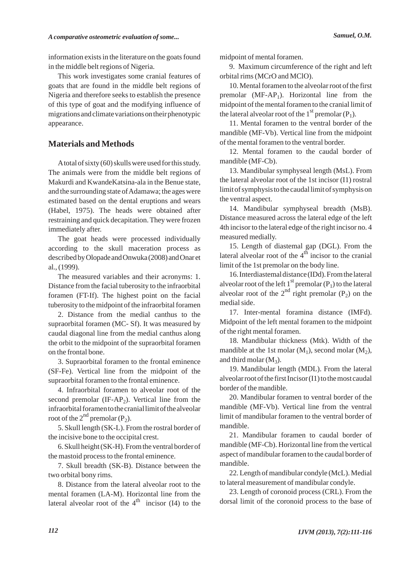information exists in the literature on the goats found in the middle belt regions of Nigeria.

This work investigates some cranial features of goats that are found in the middle belt regions of Nigeria and therefore seeks to establish the presence of this type of goat and the modifying influence of migrations and climate variations on their phenotypic appearance.

### **Materials and Methods**

Atotal of sixty (60) skulls were used for this study. The animals were from the middle belt regions of Makurdi and KwandeKatsina-ala in the Benue state, and the surrounding state of Adamawa; the ages were estimated based on the dental eruptions and wears (Habel, 1975). The heads were obtained after restraining and quick decapitation. They were frozen immediately after.

The goat heads were processed individually according to the skull maceration process as described by Olopade and Onwuka (2008) and Onar et al., (1999).

The measured variables and their acronyms: 1. Distance from the facial tuberosity to the infraorbital foramen (FT-If). The highest point on the facial tuberosity to the midpoint of the infraorbital foramen

2. Distance from the medial canthus to the supraorbital foramen (MC- Sf). It was measured by caudal diagonal line from the medial canthus along the orbit to the midpoint of the supraorbital foramen on the frontal bone.

3. Supraorbital foramen to the frontal eminence (SF-Fe). Vertical line from the midpoint of the supraorbital foramen to the frontal eminence.

4. Infraorbital foramen to alveolar root of the second premolar  $(IF-AP<sub>2</sub>)$ . Vertical line from the infraorbital foramen to the cranial limit of the alveolar root of the  $2^{nd}$  premolar (P<sub>2</sub>).

5. Skull length (SK-L). From the rostral border of the incisive bone to the occipital crest.

6. Skull height (SK-H). From the ventral border of the mastoid process to the frontal eminence.

7. Skull breadth (SK-B). Distance between the two orbital bony rims.

8. Distance from the lateral alveolar root to the mental foramen (LA-M). Horizontal line from the lateral alveolar root of the  $4^{th}$  incisor (I4) to the midpoint of mental foramen.

9. Maximum circumference of the right and left orbital rims (MCrO and MClO).

10. Mental foramen to the alveolar root of the first premolar  $(MF-AP<sub>1</sub>)$ . Horizontal line from the midpoint of the mental foramen to the cranial limit of the lateral alveolar root of the  $1<sup>st</sup>$  premolar (P<sub>1</sub>).

11. Mental foramen to the ventral border of the mandible (MF-Vb). Vertical line from the midpoint of the mental foramen to the ventral border.

12. Mental foramen to the caudal border of mandible (MF-Cb).

13. Mandibular symphyseal length (MsL). From the lateral alveolar root of the 1st incisor (I1) rostral limit of symphysis to the caudal limit of symphysis on the ventral aspect.

14. Mandibular symphyseal breadth (MsB). Distance measured across the lateral edge of the left 4th incisor to the lateral edge of the right incisor no. 4 measured medially.

15. Length of diastemal gap (DGL). From the lateral alveolar root of the  $4<sup>th</sup>$  incisor to the cranial limit of the 1st premolar on the body line.

16. Interdiastemal distance (IDd). From the lateral alveolar root of the left 1<sup>st</sup> premolar (P<sub>1</sub>) to the lateral alveolar root of the  $2^{nd}$  right premolar (P<sub>2</sub>) on the medial side.

17. Inter-mental foramina distance (IMFd). Midpoint of the left mental foramen to the midpoint of the right mental foramen.

18. Mandibular thickness (Mtk). Width of the mandible at the 1st molar  $(M_1)$ , second molar  $(M_2)$ , and third molar  $(M_3)$ .

19. Mandibular length (MDL). From the lateral alveolar root of the first Incisor (I1) to the most caudal border of the mandible.

20. Mandibular foramen to ventral border of the mandible (MF-Vb). Vertical line from the ventral limit of mandibular foramen to the ventral border of mandible.

21. Mandibular foramen to caudal border of mandible (MF-Cb). Horizontal line from the vertical aspect of mandibular foramen to the caudal border of mandible.

22. Length of mandibular condyle (McL). Medial to lateral measurement of mandibular condyle.

23. Length of coronoid process (CRL). From the dorsal limit of the coronoid process to the base of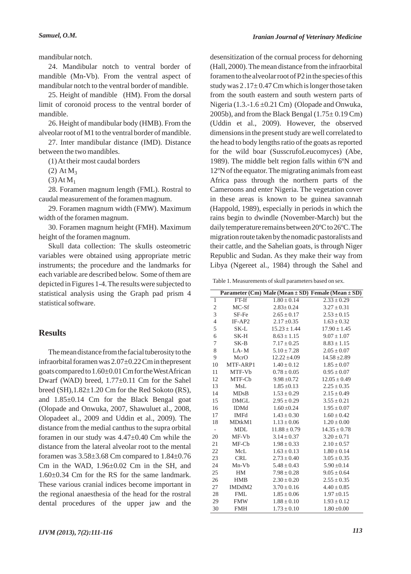mandibular notch.

24. Mandibular notch to ventral border of mandible (Mn-Vb). From the ventral aspect of mandibular notch to the ventral border of mandible.

25. Height of mandible (HM). From the dorsal limit of coronoid process to the ventral border of mandible.

26. Height of mandibular body (HMB). From the alveolar root of M1 to the ventral border of mandible.

27. Inter mandibular distance (IMD). Distance between the two mandibles.

(1) At their most caudal borders

 $(2) At M_3$ 

 $(3)$  At M<sub>1</sub>

28. Foramen magnum length (FML). Rostral to caudal measurement of the foramen magnum.

29. Foramen magnum width (FMW). Maximum width of the foramen magnum.

30. Foramen magnum height (FMH). Maximum height of the foramen magnum.

Skull data collection: The skulls osteometric variables were obtained using appropriate metric instruments; the procedure and the landmarks for each variable are described below. Some of them are depicted in Figures 1-4. The results were subjected to statistical analysis using the Graph pad prism 4 statistical software.

### **Results**

The mean distance from the facial tuberosity to the infraorbital foramen was 2.07±0.22 Cm in thepresent goats compared to 1.60±0.01 Cm for the West African Dwarf (WAD) breed, 1.77±0.11 Cm for the Sahel breed  $(SH)$ ,  $1.82 \pm 1.20$  Cm for the Red Sokoto  $(RS)$ , and 1.85±0.14 Cm for the Black Bengal goat (Olopade and Onwuka, 2007, Shawuluet al., 2008, Olopadeet al., 2009 and Uddin et al., 2009). The distance from the medial canthus to the supra orbital foramen in our study was 4.47±0.40 Cm while the distance from the lateral alveolar root to the mental foramen was 3.58±3.68 Cm compared to 1.84±0.76 Cm in the WAD, 1.96±0.02 Cm in the SH, and 1.60±0.34 Cm for the RS for the same landmark. These various cranial indices become important in the regional anaesthesia of the head for the rostral dental procedures of the upper jaw and the desensitization of the cornual process for dehorning (Hall, 2000). The mean distance from the infraorbital foramen to the alveolar root of P2 in the species of this study was  $2.17 \pm 0.47$  Cm which is longer those taken from the south eastern and south western parts of Nigeria (1.3.-1.6 ±0.21 Cm) (Olopade and Onwuka, 2005b), and from the Black Bengal  $(1.75 \pm 0.19 \text{ Cm})$ (Uddin et al., 2009). However, the observed dimensions in the present study are well correlated to the head to body lengths ratio of the goats as reported for the wild boar (SusscrufoLeucomyces) (Abe, 1989). The middle belt region falls within 6ºN and 12ºN of the equator. The migrating animals from east Africa pass through the northern parts of the Cameroons and enter Nigeria. The vegetation cover in these areas is known to be guinea savannah (Happold, 1989), especially in periods in which the rains begin to dwindle (November-March) but the daily temperature remains between 20ºC to 26ºC. The migration route taken by the nomadic pastoralists and their cattle, and the Sahelian goats, is through Niger Republic and Sudan. As they make their way from Libya (Ngereet al., 1984) through the Sahel and

Table 1. Measurements of skull parameters based on sex.

|                |                    |                  | Parameter (Cm) Male (Mean $\pm$ SD) Female (Mean $\pm$ SD) |
|----------------|--------------------|------------------|------------------------------------------------------------|
| 1              | $FT-If$            | $1.80 \pm 0.14$  | $2.33 \pm 0.29$                                            |
| $\overline{c}$ | MC-Sf              | $2.83 \pm 0.24$  | $3.27 \pm 0.31$                                            |
| 3              | SF-Fe              | $2.65 \pm 0.17$  | $2.53 \pm 0.15$                                            |
| $\overline{4}$ | $IF-AP2$           | $2.17 \pm 0.35$  | $1.63 \pm 0.32$                                            |
| 5              | SK-L               | $15.23 \pm 1.44$ | $17.90 \pm 1.45$                                           |
| 6              | SK-H               | $8.63 \pm 1.15$  | $9.07 \pm 1.07$                                            |
| 7              | $SK-B$             | $7.17 \pm 0.25$  | $8.83 \pm 1.15$                                            |
| 8              | $LA-M$             | $5.10 \pm 7.28$  | $2.05 \pm 0.07$                                            |
| 9              | MerO               | $12.22 \pm 4.09$ | $14.58 \pm 2.89$                                           |
| 10             | MTF-ARP1           | $1.40 \pm 0.12$  | $1.85 \pm 0.07$                                            |
| 11             | MTF-Vb             | $0.78 \pm 0.05$  | $0.95 \pm 0.07$                                            |
| 12             | MTF-Cb             | $9.98 \pm 0.72$  | $12.05 \pm 0.49$                                           |
| 13             | MsL                | $1.85 \pm 0.13$  | $2.25 \pm 0.35$                                            |
| 14             | MDsB               | $1.53 \pm 0.29$  | $2.15 \pm 0.49$                                            |
| 15             | <b>DMGL</b>        | $2.95 \pm 0.29$  | $3.55 \pm 0.21$                                            |
| 16             | <b>IDMd</b>        | $1.60 \pm 0.24$  | $1.95 \pm 0.07$                                            |
| 17             | <b>IMFd</b>        | $1.43 \pm 0.30$  | $1.60 \pm 0.42$                                            |
| 18             | MD <sub>tkM1</sub> | $1.13 \pm 0.06$  | $1.20 \pm 0.00$                                            |
|                | <b>MDL</b>         | $11.88 \pm 0.79$ | $14.35 \pm 0.78$                                           |
| 20             | MF-Vb              | $3.14 \pm 0.37$  | $3.20 \pm 0.71$                                            |
| 21             | MF-Cb              | $1.98 \pm 0.33$  | $2.10 \pm 0.57$                                            |
| 22             | McL                | $1.63 \pm 0.13$  | $1.80 \pm 0.14$                                            |
| 23             | <b>CRL</b>         | $2.73 \pm 0.40$  | $3.05 \pm 0.35$                                            |
| 24             | Mn-Vb              | $5.48 \pm 0.43$  | $5.90 \pm 0.14$                                            |
| 25             | <b>HM</b>          | $7.98 \pm 0.28$  | $9.05 \pm 0.64$                                            |
| 26             | <b>HMB</b>         | $2.30 \pm 0.20$  | $2.55 \pm 0.35$                                            |
| 27             | IMDdM2             | $3.70 \pm 0.16$  | $4.40 \pm 0.85$                                            |
| 28             | <b>FML</b>         | $1.85 \pm 0.06$  | $1.97 \pm 0.15$                                            |
| 29             | <b>FMW</b>         | $1.88 \pm 0.10$  | $1.93 \pm 0.12$                                            |
| 30             | <b>FMH</b>         | $1.73 \pm 0.10$  | $1.80 \pm 0.00$                                            |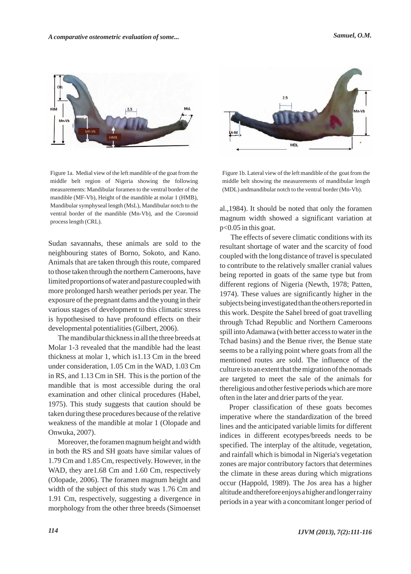

Figure 1a. Medial view of the left mandible of the goat from the middle belt region of Nigeria showing the following measurements: Mandibular foramen to the ventral border of the mandible (MF-Vb), Height of the mandible at molar 1 (HMB), Mandibular symphyseal length (MsL), Mandibular notch to the ventral border of the mandible (Mn-Vb), and the Coronoid process length (CRL).

Sudan savannahs, these animals are sold to the neighbouring states of Borno, Sokoto, and Kano. Animals that are taken through this route, compared to those taken through the northern Cameroons, have limited proportions of water and pasture coupled with more prolonged harsh weather periods per year. The exposure of the pregnant dams and the young in their various stages of development to this climatic stress is hypothesised to have profound effects on their developmental potentialities (Gilbert, 2006).

The mandibular thickness in all the three breeds at Molar 1-3 revealed that the mandible had the least thickness at molar 1, which is1.13 Cm in the breed under consideration, 1.05 Cm in the WAD, 1.03 Cm in RS, and 1.13 Cm in SH. This is the portion of the mandible that is most accessible during the oral examination and other clinical procedures (Habel, 1975). This study suggests that caution should be taken during these procedures because of the relative weakness of the mandible at molar 1 (Olopade and Onwuka, 2007).

Moreover, the foramen magnum height and width in both the RS and SH goats have similar values of 1.79 Cm and 1.85 Cm, respectively. However, in the WAD, they are 1.68 Cm and 1.60 Cm, respectively (Olopade, 2006). The foramen magnum height and width of the subject of this study was 1.76 Cm and 1.91 Cm, respectively, suggesting a divergence in morphology from the other three breeds (Simoenset



Figure 1b. Lateral view of the left mandible of the goat from the middle belt showing the measurements of mandibular length (MDL) andmandibular notch to the ventral border (Mn-Vb).

al.,1984). It should be noted that only the foramen magnum width showed a significant variation at p<0.05 in this goat.

The effects of severe climatic conditions with its resultant shortage of water and the scarcity of food coupled with the long distance of travel is speculated to contribute to the relatively smaller cranial values being reported in goats of the same type but from different regions of Nigeria (Newth, 1978; Patten, 1974). These values are significantly higher in the subjects being investigated than the others reported in this work. Despite the Sahel breed of goat travelling through Tchad Republic and Northern Cameroons spill into Adamawa (with better access to water in the Tchad basins) and the Benue river, the Benue state seems to be a rallying point where goats from all the mentioned routes are sold. The influence of the culture is to an extent that the migration of the nomads are targeted to meet the sale of the animals for thereligious and other festive periods which are more often in the later and drier parts of the year.

Proper classification of these goats becomes imperative where the standardization of the breed lines and the anticipated variable limits for different indices in different ecotypes/breeds needs to be specified. The interplay of the altitude, vegetation, and rainfall which is bimodal in Nigeria's vegetation zones are major contributory factors that determines the climate in these areas during which migrations occur (Happold, 1989). The Jos area has a higher altitude and therefore enjoys a higher and longer rainy periods in a year with a concomitant longer period of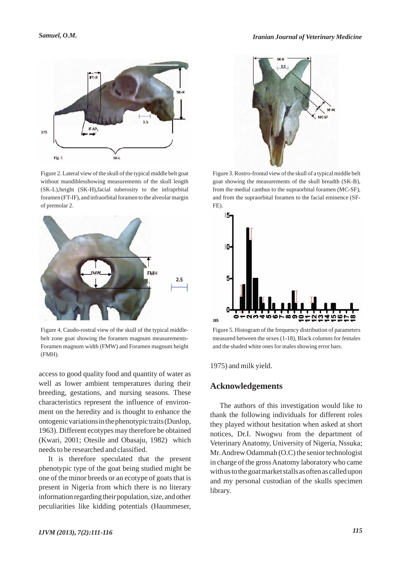

Figure 2. Lateral view of the skull of the typical middle belt goat without mandiblesshowing measurements of the skull length (SK-L),height (SK-H),facial tuberosity to the infraprbital foramen (FT-IF), and infraorbital foramen to the alveolar margin of premolar 2.



Figure 4. Caudo-rostral view of the skull of the typical middlebelt zone goat showing the foramen magnum measurements-Foramen magnum width (FMW) and Foramen magnum height (FMH).

access to good quality food and quantity of water as well as lower ambient temperatures during their breeding, gestations, and nursing seasons. These characteristics represent the influence of environment on the heredity and is thought to enhance the ontogenic variations in the phenotypic traits (Dunlop, 1963). Different ecotypes may therefore be obtained (Kwari, 2001; Otesile and Obasaju, 1982) which needs to be researched and classified.

It is therefore speculated that the present phenotypic type of the goat being studied might be one of the minor breeds or an ecotype of goats that is present in Nigeria from which there is no literary information regarding their population, size, and other peculiarities like kidding potentials (Haummeser,



Figure 3. Rostro-frontal view of the skull of a typical middle belt goat showing the measurements of the skull breadth (SK-B), from the medial canthus to the supraorbital foramen (MC-SF), and from the supraorbital foramen to the facial eminence (SF-FE).



Figure 5. Histogram of the frequency distribution of parameters measured between the sexes (1-18), Black columns for females and the shaded white ones for males showing error bars.

1975) and milk yield.

#### **Acknowledgements**

The authors of this investigation would like to thank the following individuals for different roles they played without hesitation when asked at short notices, Dr.I. Nwogwu from the department of Veterinary Anatomy, University of Nigeria, Nssuka; Mr. Andrew Odammah (O.C) the senior technologist in charge of the gross Anatomy laboratory who came with us to the goat market stalls as often as called upon and my personal custodian of the skulls specimen library.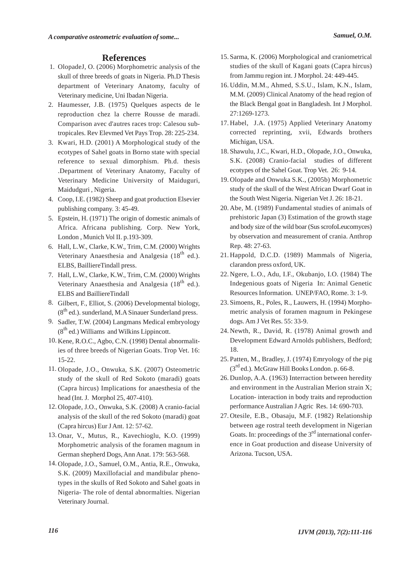## **References**

- 1. OlopadeJ, O. (2006) Morphometric analysis of the skull of three breeds of goats in Nigeria. Ph.D Thesis department of Veterinary Anatomy, faculty of Veterinary medicine, Uni Ibadan Nigeria.
- Haumesser, J.B. (1975) Quelques aspects de le 2. reproduction chez la cherre Rousse de maradi. Comparison avec d'autres races trop: Calesou subtropicales. Rev Elevmed Vet Pays Trop. 28: 225-234.
- 3. Kwari, H.D. (2001) A Morphological study of the ecotypes of Sahel goats in Borno state with special reference to sexual dimorphism. Ph.d. thesis .Department of Veterinary Anatomy, Faculty of Veterinary Medicine University of Maiduguri, Maidudguri , Nigeria.
- Coop, I.E. (1982) Sheep and goat production Elsevier 4. publishing company. 3: 45-49.
- 5. Epstein, H. (1971) The origin of domestic animals of Africa. Africana publishing. Corp. New York, London , Munich Vol II. p.193-309.
- Hall, L.W., Clarke, K.W., Trim, C.M. (2000) Wrights 6. Veterinary Anaesthesia and Analgesia  $(18<sup>th</sup>$  ed.). ELBS, BailliereTindall press.
- Hall, L.W., Clarke, K.W., Trim, C.M. (2000) Wrights 7. Veterinary Anaesthesia and Analgesia  $(18<sup>th</sup>$  ed.). ELBS and BailliereTindall
- Gilbert, F., Elliot, S. (2006) Developmental biology, 8.  $(8<sup>th</sup>$  ed.). sunderland, M.A Sinauer Sunderland press.
- 9. Sadler, T.W. (2004) Langmans Medical embryology  $(8<sup>th</sup>$  ed.) Williams and Wilkins Lippincott.
- 10. Kene, R.O.C., Agbo, C.N. (1998) Dental abnormalities of three breeds of Nigerian Goats. Trop Vet. 16: 15-22.
- 11. Olopade, J.O., Onwuka, S.K. (2007) Osteometric study of the skull of Red Sokoto (maradi) goats (Capra hircus) Implications for anaesthesia of the head (Int. J. Morphol 25, 407-410).
- 12. Olopade, J.O., Onwuka, S.K. (2008) A cranio-facial analysis of the skull of the red Sokoto (maradi) goat (Capra hircus) Eur J Ant. 12: 57-62.
- 13. Onar, V., Mutus, R., Kavechioglu, K.O. (1999) Morphometric analysis of the foramen magnum in German shepherd Dogs, Ann Anat. 179: 563-568.
- 14. Olopade, J.O., Samuel, O.M., Antia, R.E., Onwuka, S.K. (2009) Maxillofacial and mandibular phenotypes in the skulls of Red Sokoto and Sahel goats in Nigeria- The role of dental abnormalties. Nigerian Veterinary Journal.
- 15. Sarma, K. (2006) Morphological and craniometrical studies of the skull of Kagani goats (Capra hircus) from Jammu region int. J Morphol. 24: 449-445.
- Uddin, M.M., Ahmed, S.S.U., Islam, K.N., Islam, 16. M.M. (2009) Clinical Anatomy of the head region of the Black Bengal goat in Bangladesh. Int J Morphol. 27:1269-1273.
- 17. Habel, J.A. (1975) Applied Veterinary Anatomy corrected reprinting, xvii, Edwards brothers Michigan, USA.
- 18. Shawulu, J.C., Kwari, H.D., Olopade, J.O., Onwuka, S.K. (2008) Cranio-facial studies of different ecotypes of the Sahel Goat. Trop Vet. 26: 9-14.
- 19. Olopade and Onwuka S.K., (2005b) Morphometric study of the skull of the West African Dwarf Goat in the South West Nigeria. Nigerian Vet J. 26: 18-21.
- 20. Abe, M. (1989) Fundamental studies of animals of prehistoric Japan (3) Estimation of the growth stage and body size of the wild boar (Sus scrofoLeucomyces) by observation and measurement of crania. Anthrop Rep. 48: 27-63.
- 21. Happold, D.C.D. (1989) Mammals of Nigeria, clarandon press oxford, UK.
- 22. Ngere, L.O., Adu, I.F., Okubanjo, I.O. (1984) The Indegenious goats of Nigeria In: Animal Genetic Resources Information. UNEP/FAO, Rome. 3: 1-9.
- 23. Simoens, R., Poles, R., Lauwers, H. (1994) Morphometric analysis of foramen magnum in Pekingese dogs. Am J Vet Res. 55: 33-9.
- 24. Newth, R., David, R. (1978) Animal growth and Development Edward Arnolds publishers, Bedford; 18.
- 25. Patten, M., Bradley, J. (1974) Emryology of the pig  $(3<sup>rd</sup>$ ed.). McGraw Hill Books London. p. 66-8.
- 26. Dunlop, A.A. (1963) Interraction between heredity and environment in the Australian Merion strain X; Location- interaction in body traits and reproduction performance Australian J Agric Res. 14: 690-703.
- 27. Otesile, E.B., Obasaju, M.F. (1982) Relationship between age rostral teeth development in Nigerian Goats. In: proceedings of the  $3<sup>rd</sup>$  international conference in Goat production and disease University of Arizona. Tucson, USA.